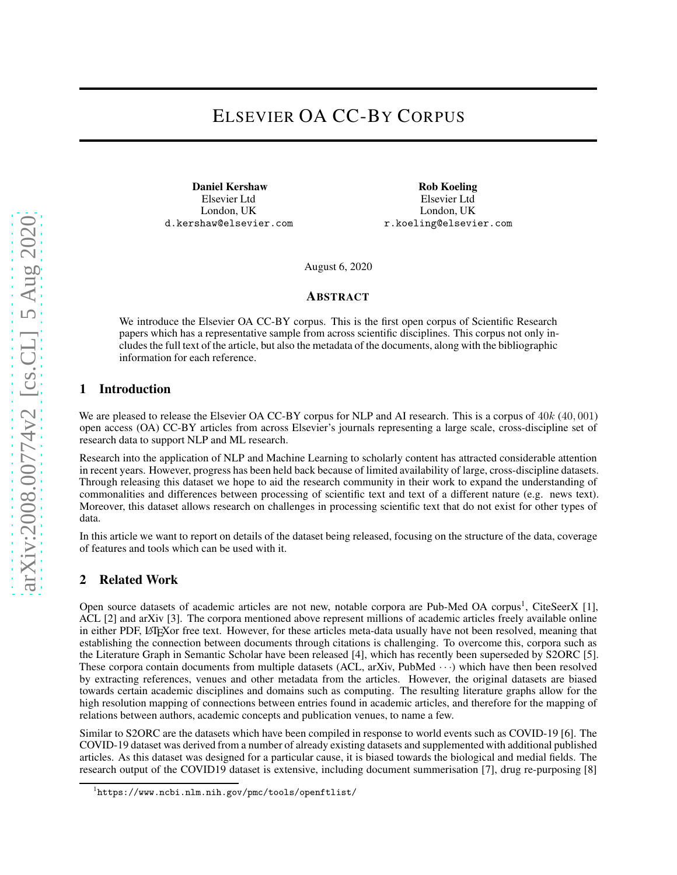# ELSEVIER OA CC-BY CORPUS

Daniel Kershaw Elsevier Ltd London, UK d.kershaw@elsevier.com

Rob Koeling Elsevier Ltd London, UK r.koeling@elsevier.com

August 6, 2020

#### ABSTRACT

We introduce the Elsevier OA CC-BY corpus. This is the first open corpus of Scientific Research papers which has a representative sample from across scientific disciplines. This corpus not only includes the full text of the article, but also the metadata of the documents, along with the bibliographic information for each reference.

#### 1 Introduction

We are pleased to release the Elsevier OA CC-BY corpus for NLP and AI research. This is a corpus of  $40k (40, 001)$ open access (OA) CC-BY articles from across Elsevier's journals representing a large scale, cross-discipline set of research data to support NLP and ML research.

Research into the application of NLP and Machine Learning to scholarly content has attracted considerable attention in recent years. However, progress has been held back because of limited availability of large, cross-discipline datasets. Through releasing this dataset we hope to aid the research community in their work to expand the understanding of commonalities and differences between processing of scientific text and text of a different nature (e.g. news text). Moreover, this dataset allows research on challenges in processing scientific text that do not exist for other types of data.

In this article we want to report on details of the dataset being released, focusing on the structure of the data, coverage of features and tools which can be used with it.

#### 2 Related Work

Open source datasets of academic articles are not new, notable corpora are Pub-Med OA corpus<sup>[1](#page-0-0)</sup>, CiteSeerX [1], ACL [2] and arXiv [\[3\]](#page-5-0). The corpora mentioned above represent millions of academic articles freely available online in either PDF, LATEXor free text. However, for these articles meta-data usually have not been resolved, meaning that establishing the connection between documents through citations is challenging. To overcome this, corpora such as the Literature Graph in Semantic Scholar have been released [\[4\]](#page-5-1), which has recently been superseded by S2ORC [\[5\]](#page-5-2). These corpora contain documents from multiple datasets (ACL, arXiv, PubMed  $\cdots$ ) which have then been resolved by extracting references, venues and other metadata from the articles. However, the original datasets are biased towards certain academic disciplines and domains such as computing. The resulting literature graphs allow for the high resolution mapping of connections between entries found in academic articles, and therefore for the mapping of relations between authors, academic concepts and publication venues, to name a few.

Similar to S2ORC are the datasets which have been compiled in response to world events such as COVID-19 [\[6\]](#page-5-3). The COVID-19 dataset was derived from a number of already existing datasets and supplemented with additional published articles. As this dataset was designed for a particular cause, it is biased towards the biological and medial fields. The research output of the COVID19 dataset is extensive, including document summerisation [\[7\]](#page-5-4), drug re-purposing [\[8\]](#page-5-5)

<span id="page-0-0"></span><sup>1</sup> <https://www.ncbi.nlm.nih.gov/pmc/tools/openftlist/>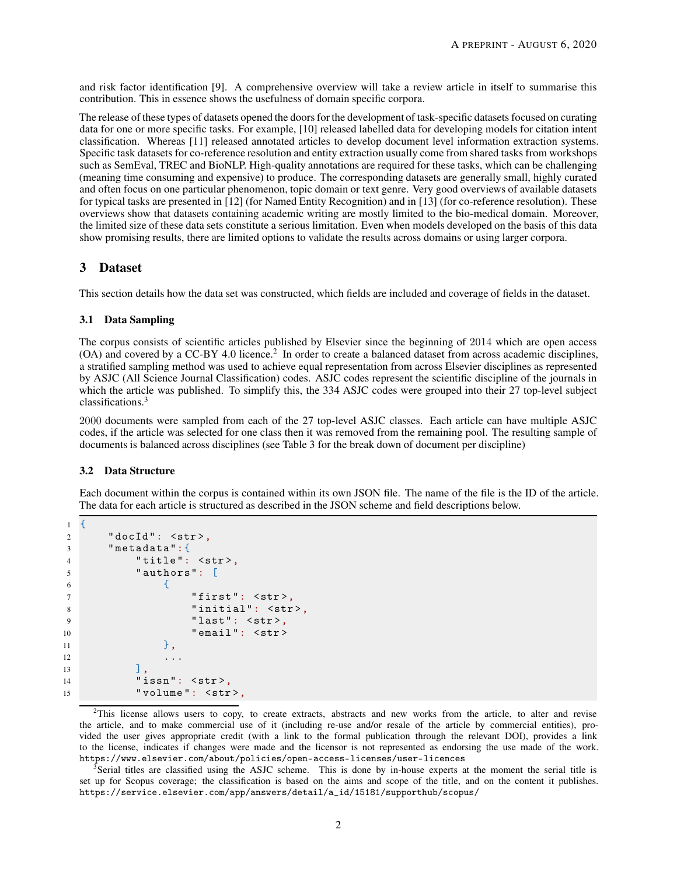and risk factor identification [\[9\]](#page-5-6). A comprehensive overview will take a review article in itself to summarise this contribution. This in essence shows the usefulness of domain specific corpora.

The release of these types of datasets opened the doors for the development of task-specific datasets focused on curating data for one or more specific tasks. For example, [\[10\]](#page-5-7) released labelled data for developing models for citation intent classification. Whereas [\[11\]](#page-5-8) released annotated articles to develop document level information extraction systems. Specific task datasets for co-reference resolution and entity extraction usually come from shared tasks from workshops such as SemEval, TREC and BioNLP. High-quality annotations are required for these tasks, which can be challenging (meaning time consuming and expensive) to produce. The corresponding datasets are generally small, highly curated and often focus on one particular phenomenon, topic domain or text genre. Very good overviews of available datasets for typical tasks are presented in [\[12\]](#page-5-9) (for Named Entity Recognition) and in [\[13\]](#page-5-10) (for co-reference resolution). These overviews show that datasets containing academic writing are mostly limited to the bio-medical domain. Moreover, the limited size of these data sets constitute a serious limitation. Even when models developed on the basis of this data show promising results, there are limited options to validate the results across domains or using larger corpora.

#### 3 Dataset

This section details how the data set was constructed, which fields are included and coverage of fields in the dataset.

#### 3.1 Data Sampling

The corpus consists of scientific articles published by Elsevier since the beginning of 2014 which are open access (OA) and covered by a CC-BY 4.0 licence.<sup>[2](#page-1-0)</sup> In order to create a balanced dataset from across academic disciplines, a stratified sampling method was used to achieve equal representation from across Elsevier disciplines as represented by ASJC (All Science Journal Classification) codes. ASJC codes represent the scientific discipline of the journals in which the article was published. To simplify this, the 334 ASJC codes were grouped into their 27 top-level subject classifications.[3](#page-1-1)

2000 documents were sampled from each of the 27 top-level ASJC classes. Each article can have multiple ASJC codes, if the article was selected for one class then it was removed from the remaining pool. The resulting sample of documents is balanced across disciplines (see Table [3](#page-4-0) for the break down of document per discipline)

#### 3.2 Data Structure

Each document within the corpus is contained within its own JSON file. The name of the file is the ID of the article. The data for each article is structured as described in the JSON scheme and field descriptions below.

```
1 {
2 "docId": <str>,
3 " metadata":{
4 "title": <str>,
5 " authors": [
\epsilon 6 \epsilon7 " first": \langlestr>,
8 "initial": <str>,
9 "last": <str>,
10 " email": <str>
\frac{11}{3},
12 \quad . . .\frac{13}{13} \frac{1}{3},
14 " issn": <str>,
15 "volume": \langlestr>,
```
<span id="page-1-0"></span><sup>2</sup>This license allows users to copy, to create extracts, abstracts and new works from the article, to alter and revise the article, and to make commercial use of it (including re-use and/or resale of the article by commercial entities), provided the user gives appropriate credit (with a link to the formal publication through the relevant DOI), provides a link to the license, indicates if changes were made and the licensor is not represented as endorsing the use made of the work. <https://www.elsevier.com/about/policies/open-access-licenses/user-licences>

<span id="page-1-1"></span><sup>3</sup>Serial titles are classified using the ASJC scheme. This is done by in-house experts at the moment the serial title is set up for Scopus coverage; the classification is based on the aims and scope of the title, and on the content it publishes. [https://service.elsevier.com/app/answers/detail/a\\_id/15181/supporthub/scopus/](https://service.elsevier.com/app/answers/detail/a_id/15181/supporthub/scopus/)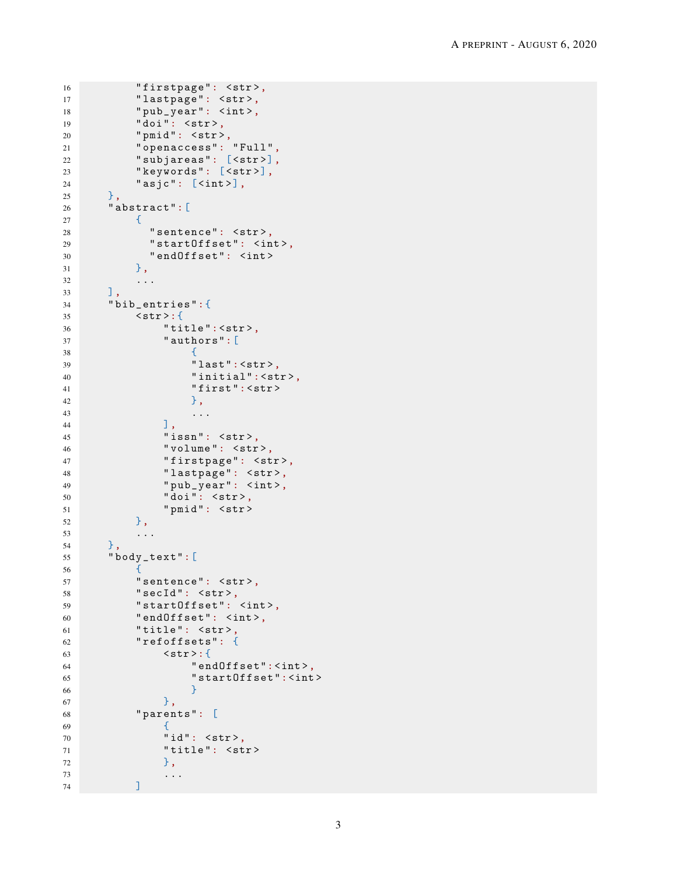```
16 "firstpage": <str>,
17 "lastpage": <str>,
18 " pub_year": <int>,
19 "doi": <str>,
20 " pmid": \langlestr>,
21 " openaccess": " Full ",
22 " subjareas": [<str >],
23 "keywords": [<str>],
24 "asjc": [<int>],
25 },
26 " abstract":[
27 {
28 " sentence": \langlestr>,
29 " startOffset": <int >,
30 " endOffset": <int >
31 },
32 ...
33 ],
34 " bib_entries":{
35 <str >:{
36 " title ":<str >,
37 " authors":[
38 \qquad \qquad \qquad \qquad \qquad \qquad \qquad \qquad \qquad \qquad \qquad \qquad \qquad \qquad \qquad \qquad \qquad \qquad \qquad \qquad \qquad \qquad \qquad \qquad \qquad \qquad \qquad \qquad \qquad \qquad \qquad \qquad \qquad \qquad \qquad \qquad \q39 " last": <str>,
40 "initial":<str>,
41 first ": <str> > \blacksquare\frac{1}{2}, \frac{1}{2}, \frac{1}{2}, \frac{1}{2}, \frac{1}{2}, \frac{1}{2}, \frac{1}{2}, \frac{1}{2}, \frac{1}{2}, \frac{1}{2}, \frac{1}{2}, \frac{1}{2}, \frac{1}{2}, \frac{1}{2}, \frac{1}{2}, \frac{1}{2}, \frac{1}{2}, \frac{1}{2}, \frac{1}{2}, \frac{1}{2}, 43 ...
\frac{1}{44} , \frac{1}{44}45 " issn": \langlestr>,
46 "volume": <str>,
47 "firstpage": <str>,
48 "lastpage": <str>,
49 " pub_year": <int>,
50 " doi": <str>,
51 " pmid ": <str >
52 },
53 ...
54 },
55 " body_text":[
56 {
57 " sentence": \langlestr>,
58 " secId": \langlestr>,
59 " startOffset": <int >,
60 " endOffset": <int >,
61 "title": \langlestr>,
62 " refoffsets": {
63 \langlestr>:{
64 " endOffset": <int>,
65 "startOffset":<|int>6666 }
\begin{array}{ccc} 67 & & & \end{array}68 " parents": [
69 \qquad \qquad \qquad \qquad \qquad \qquad \qquad \qquad \qquad \qquad \qquad \qquad \qquad \qquad \qquad \qquad \qquad \qquad \qquad \qquad \qquad \qquad \qquad \qquad \qquad \qquad \qquad \qquad \qquad \qquad \qquad \qquad \qquad \qquad \qquad \qquad \q70 "id": <str>,
71 " title": <str>
\frac{1}{2},
73 ...
74 ]
```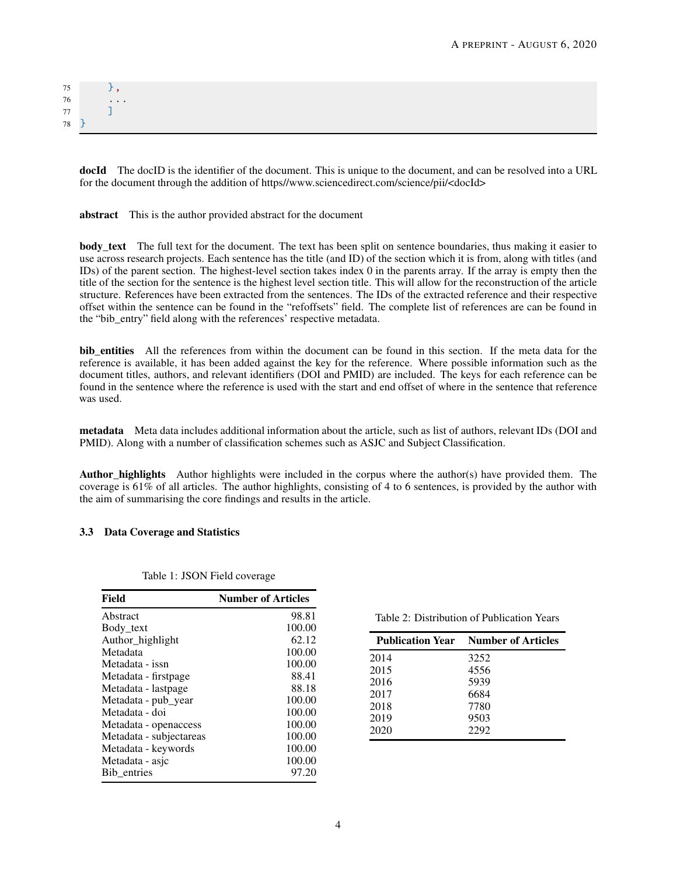| 75     |                              |
|--------|------------------------------|
| 76     | $\sim$ 100 $\sim$ 100 $\sim$ |
| $77\,$ |                              |
| 78     |                              |

docId The docID is the identifier of the document. This is unique to the document, and can be resolved into a URL for the document through the addition of https//www.sciencedirect.com/science/pii/<docId>

abstract This is the author provided abstract for the document

body text The full text for the document. The text has been split on sentence boundaries, thus making it easier to use across research projects. Each sentence has the title (and ID) of the section which it is from, along with titles (and IDs) of the parent section. The highest-level section takes index 0 in the parents array. If the array is empty then the title of the section for the sentence is the highest level section title. This will allow for the reconstruction of the article structure. References have been extracted from the sentences. The IDs of the extracted reference and their respective offset within the sentence can be found in the "refoffsets" field. The complete list of references are can be found in the "bib\_entry" field along with the references' respective metadata.

bib\_entities All the references from within the document can be found in this section. If the meta data for the reference is available, it has been added against the key for the reference. Where possible information such as the document titles, authors, and relevant identifiers (DOI and PMID) are included. The keys for each reference can be found in the sentence where the reference is used with the start and end offset of where in the sentence that reference was used.

metadata Meta data includes additional information about the article, such as list of authors, relevant IDs (DOI and PMID). Along with a number of classification schemes such as ASJC and Subject Classification.

Author\_highlights Author highlights were included in the corpus where the author(s) have provided them. The coverage is 61% of all articles. The author highlights, consisting of 4 to 6 sentences, is provided by the author with the aim of summarising the core findings and results in the article.

#### 3.3 Data Coverage and Statistics

| Field                   | <b>Number of Articles</b> |  |
|-------------------------|---------------------------|--|
| Abstract                | 98.81                     |  |
| Body_text               | 100.00                    |  |
| Author_highlight        | 62.12                     |  |
| Metadata                | 100.00                    |  |
| Metadata - issn         | 100.00                    |  |
| Metadata - firstpage    | 88.41                     |  |
| Metadata - lastpage     | 88.18                     |  |
| Metadata - pub_year     | 100.00                    |  |
| Metadata - doi          | 100.00                    |  |
| Metadata - openaccess   | 100.00                    |  |
| Metadata - subjectareas | 100.00                    |  |
| Metadata - keywords     | 100.00                    |  |
| Metadata - asjc         | 100.00                    |  |
| Bib entries             | 97.20                     |  |

Table 1: JSON Field coverage

Table 2: Distribution of Publication Years

|      | <b>Publication Year</b> Number of Articles |
|------|--------------------------------------------|
| 2014 | 3252                                       |
| 2015 | 4556                                       |
| 2016 | 5939                                       |
| 2017 | 6684                                       |
| 2018 | 7780                                       |
| 2019 | 9503                                       |
| 2020 | 2292                                       |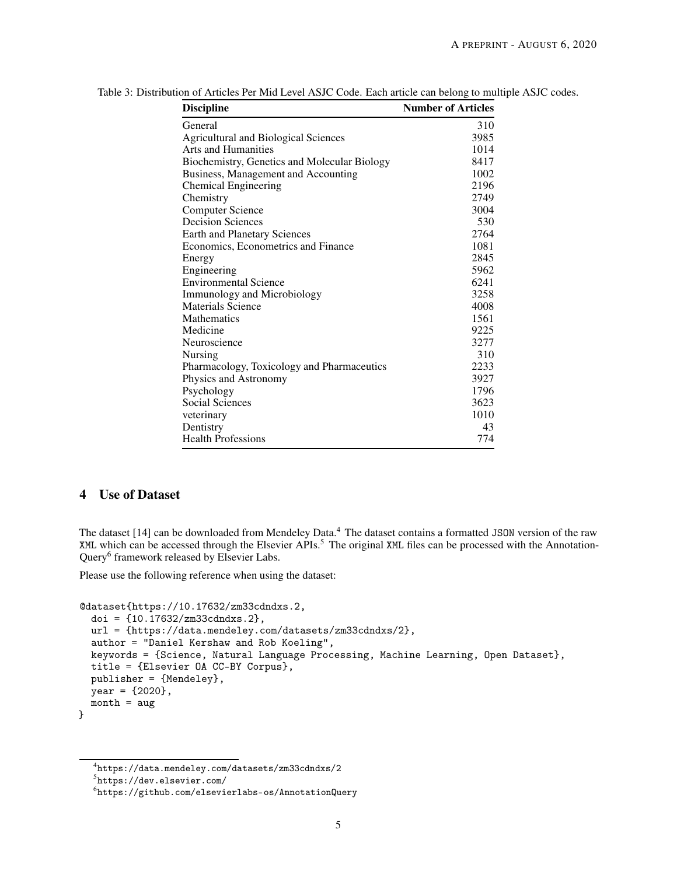| <b>Discipline</b>                            | <b>Number of Articles</b> |
|----------------------------------------------|---------------------------|
| General                                      | 310                       |
| <b>Agricultural and Biological Sciences</b>  | 3985                      |
| <b>Arts and Humanities</b>                   | 1014                      |
| Biochemistry, Genetics and Molecular Biology | 8417                      |
| Business, Management and Accounting          | 1002                      |
| <b>Chemical Engineering</b>                  | 2196                      |
| Chemistry                                    | 2749                      |
| <b>Computer Science</b>                      | 3004                      |
| <b>Decision Sciences</b>                     | 530                       |
| <b>Earth and Planetary Sciences</b>          | 2764                      |
| Economics, Econometrics and Finance          | 1081                      |
| Energy                                       | 2845                      |
| Engineering                                  | 5962                      |
| <b>Environmental Science</b>                 | 6241                      |
| <b>Immunology and Microbiology</b>           | 3258                      |
| Materials Science                            | 4008                      |
| Mathematics                                  | 1561                      |
| Medicine                                     | 9225                      |
| Neuroscience                                 | 3277                      |
| Nursing                                      | 310                       |
| Pharmacology, Toxicology and Pharmaceutics   | 2233                      |
| Physics and Astronomy                        | 3927                      |
| Psychology                                   | 1796                      |
| Social Sciences                              | 3623                      |
| veterinary                                   | 1010                      |
| Dentistry                                    | 43                        |
| <b>Health Professions</b>                    | 774                       |

<span id="page-4-0"></span>Table 3: Distribution of Articles Per Mid Level ASJC Code. Each article can belong to multiple ASJC codes.

## 4 Use of Dataset

The dataset [1[4](#page-4-1)] can be downloaded from Mendeley Data.<sup>4</sup> The dataset contains a formatted JSON version of the raw XML which can be accessed through the Elsevier APIs.<sup>[5](#page-4-2)</sup> The original XML files can be processed with the Annotation-Query<sup>[6](#page-4-3)</sup> framework released by Elsevier Labs.

Please use the following reference when using the dataset:

```
@dataset{https://10.17632/zm33cdndxs.2,
  doi = {10.17632/zm33cdndxs.2},
  url = {https://data.mendeley.com/datasets/zm33cdndxs/2},
  author = "Daniel Kershaw and Rob Koeling",
  keywords = {Science, Natural Language Processing, Machine Learning, Open Dataset},
  title = {Elsevier OA CC-BY Corpus},
  publisher = {Mendeley},
  year = {2020},
  month = aug}
```
<sup>4</sup> <https://data.mendeley.com/datasets/zm33cdndxs/2>

<span id="page-4-1"></span><sup>5</sup> <https://dev.elsevier.com/>

<span id="page-4-3"></span><span id="page-4-2"></span> $^6$ <https://github.com/elsevierlabs-os/AnnotationQuery>